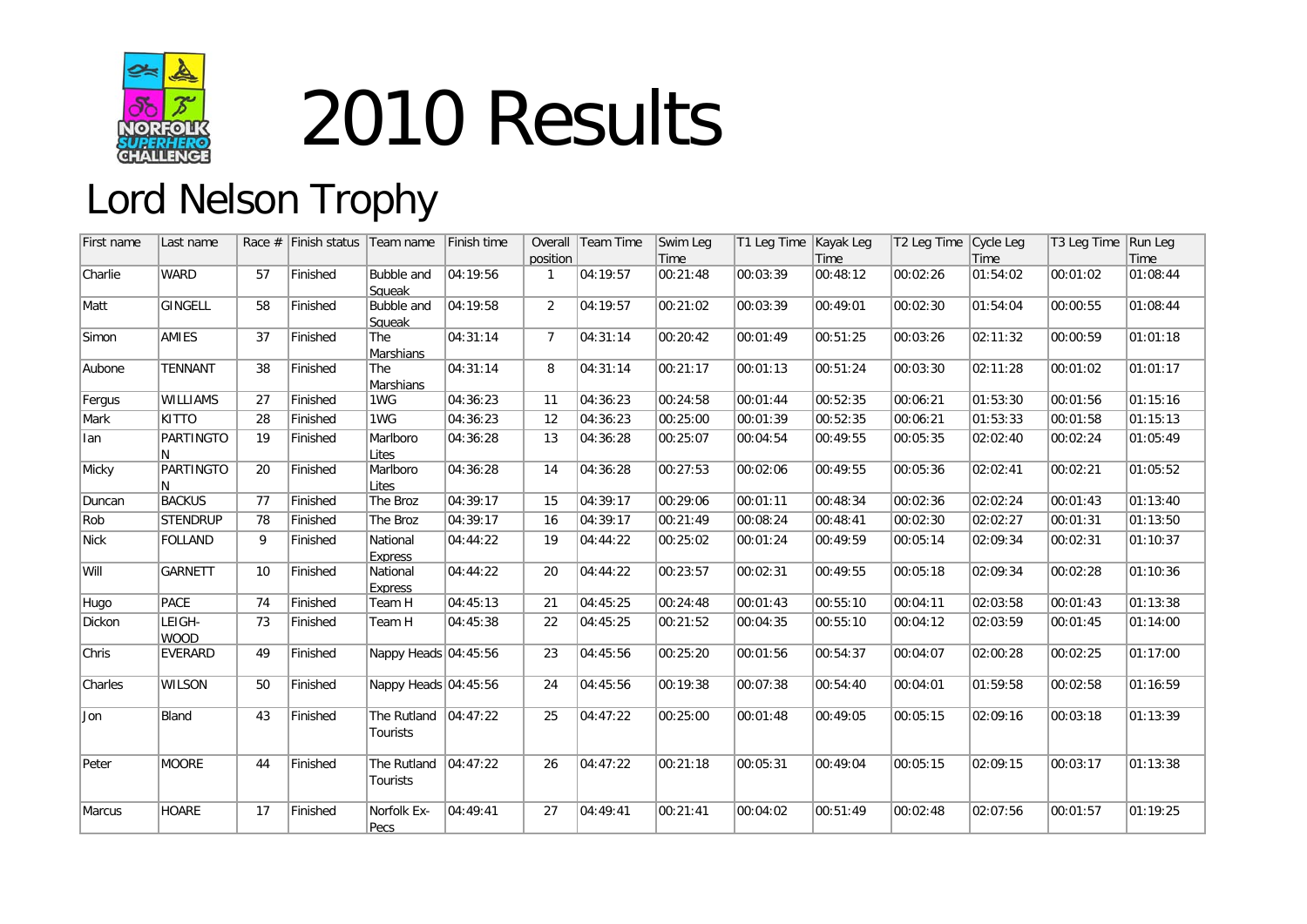

## 2010 Results

## Lord Nelson Trophy

| First name  | Last name             | Race $#$ | Finish status | Team name                           | Finish time |                | Overall Team Time | Swim Leg         | T1 Leg Time   Kayak Leg |                  | T2 Leg Time Cycle Leg |                  | T3 Leg Time Run Leg |                  |
|-------------|-----------------------|----------|---------------|-------------------------------------|-------------|----------------|-------------------|------------------|-------------------------|------------------|-----------------------|------------------|---------------------|------------------|
| Charlie     | <b>WARD</b>           | 57       | Finished      | Bubble and<br>Squeak                | 04:19:56    | position<br>-1 | 04:19:57          | Time<br>00:21:48 | 00:03:39                | Time<br>00:48:12 | 00:02:26              | Time<br>01:54:02 | 00:01:02            | Time<br>01:08:44 |
| Matt        | GINGELL               | 58       | Finished      | Bubble and<br>Squeak                | 04:19:58    | 2              | 04:19:57          | 00:21:02         | 00:03:39                | 00:49:01         | 00:02:30              | 01:54:04         | 00:00:55            | 01:08:44         |
| Simon       | AMIES                 | 37       | Finished      | The<br>Marshians                    | 04:31:14    | $\overline{7}$ | 04:31:14          | 00:20:42         | 00:01:49                | 00:51:25         | 00:03:26              | 02:11:32         | 00:00:59            | 01:01:18         |
| Aubone      | <b>TENNANT</b>        | 38       | Finished      | The<br><b>Marshians</b>             | 04:31:14    | 8              | 04:31:14          | 00:21:17         | 00:01:13                | 00:51:24         | 00:03:30              | 02:11:28         | 00:01:02            | 01:01:17         |
| Fergus      | <b>WILLIAMS</b>       | 27       | Finished      | 1WG                                 | 04:36:23    | 11             | 04:36:23          | 00:24:58         | 00:01:44                | 00:52:35         | 00:06:21              | 01:53:30         | 00:01:56            | 01:15:16         |
| Mark        | KITTO                 | 28       | Finished      | 1WG                                 | 04:36:23    | 12             | 04:36:23          | 00:25:00         | 00:01:39                | 00:52:35         | 00:06:21              | 01:53:33         | 00:01:58            | 01:15:13         |
| lan         | <b>PARTINGTO</b><br>N | 19       | Finished      | Marlboro<br>Lites                   | 04:36:28    | 13             | 04:36:28          | 00:25:07         | 00:04:54                | 00:49:55         | 00:05:35              | 02:02:40         | 00:02:24            | 01:05:49         |
| Micky       | <b>PARTINGTO</b><br>N | 20       | Finished      | Marlboro<br>Lites                   | 04:36:28    | 14             | 04:36:28          | 00:27:53         | 00:02:06                | 00:49:55         | 00:05:36              | 02:02:41         | 00:02:21            | 01:05:52         |
| Duncan      | <b>BACKUS</b>         | 77       | Finished      | The Broz                            | 04:39:17    | 15             | 04:39:17          | 00:29:06         | 00:01:11                | 00:48:34         | 00:02:36              | 02:02:24         | 00:01:43            | 01:13:40         |
| Rob         | <b>STENDRUP</b>       | 78       | Finished      | The Broz                            | 04:39:17    | 16             | 04:39:17          | 00:21:49         | 00:08:24                | 00:48:41         | 00:02:30              | 02:02:27         | 00:01:31            | 01:13:50         |
| <b>Nick</b> | <b>FOLLAND</b>        | 9        | Finished      | National<br>Express                 | 04:44:22    | 19             | 04:44:22          | 00:25:02         | 00:01:24                | 00:49:59         | 00:05:14              | 02:09:34         | 00:02:31            | 01:10:37         |
| Will        | <b>GARNETT</b>        | 10       | Finished      | National<br><b>Express</b>          | 04:44:22    | 20             | 04:44:22          | 00:23:57         | 00:02:31                | 00:49:55         | 00:05:18              | 02:09:34         | 00:02:28            | 01:10:36         |
| Hugo        | PACE                  | 74       | Finished      | Team H                              | 04:45:13    | 21             | 04:45:25          | 00:24:48         | 00:01:43                | 00:55:10         | 00:04:11              | 02:03:58         | 00:01:43            | 01:13:38         |
| Dickon      | LEIGH-<br><b>WOOD</b> | 73       | Finished      | Team H                              | 04:45:38    | 22             | 04:45:25          | 00:21:52         | 00:04:35                | 00:55:10         | 00:04:12              | 02:03:59         | 00:01:45            | 01:14:00         |
| Chris       | <b>EVERARD</b>        | 49       | Finished      | Nappy Heads 04:45:56                |             | 23             | 04:45:56          | 00:25:20         | 00:01:56                | 00:54:37         | 00:04:07              | 02:00:28         | 00:02:25            | 01:17:00         |
| Charles     | <b>WILSON</b>         | 50       | Finished      | Nappy Heads 04:45:56                |             | 24             | 04:45:56          | 00:19:38         | 00:07:38                | 00:54:40         | 00:04:01              | 01:59:58         | 00:02:58            | 01:16:59         |
| Jon         | Bland                 | 43       | Finished      | The Rutland $ 04:47:22$<br>Tourists |             | 25             | 04:47:22          | 00:25:00         | 00:01:48                | 00:49:05         | 00:05:15              | 02:09:16         | 00:03:18            | 01:13:39         |
| Peter       | MOORE                 | 44       | Finished      | The Rutland<br>Tourists             | 04:47:22    | 26             | 04:47:22          | 00:21:18         | 00:05:31                | 00:49:04         | 00:05:15              | 02:09:15         | 00:03:17            | 01:13:38         |
| Marcus      | <b>HOARE</b>          | 17       | Finished      | Norfolk Ex-<br>Pecs                 | 04:49:41    | 27             | 04:49:41          | 00:21:41         | 00:04:02                | 00:51:49         | 00:02:48              | 02:07:56         | 00:01:57            | 01:19:25         |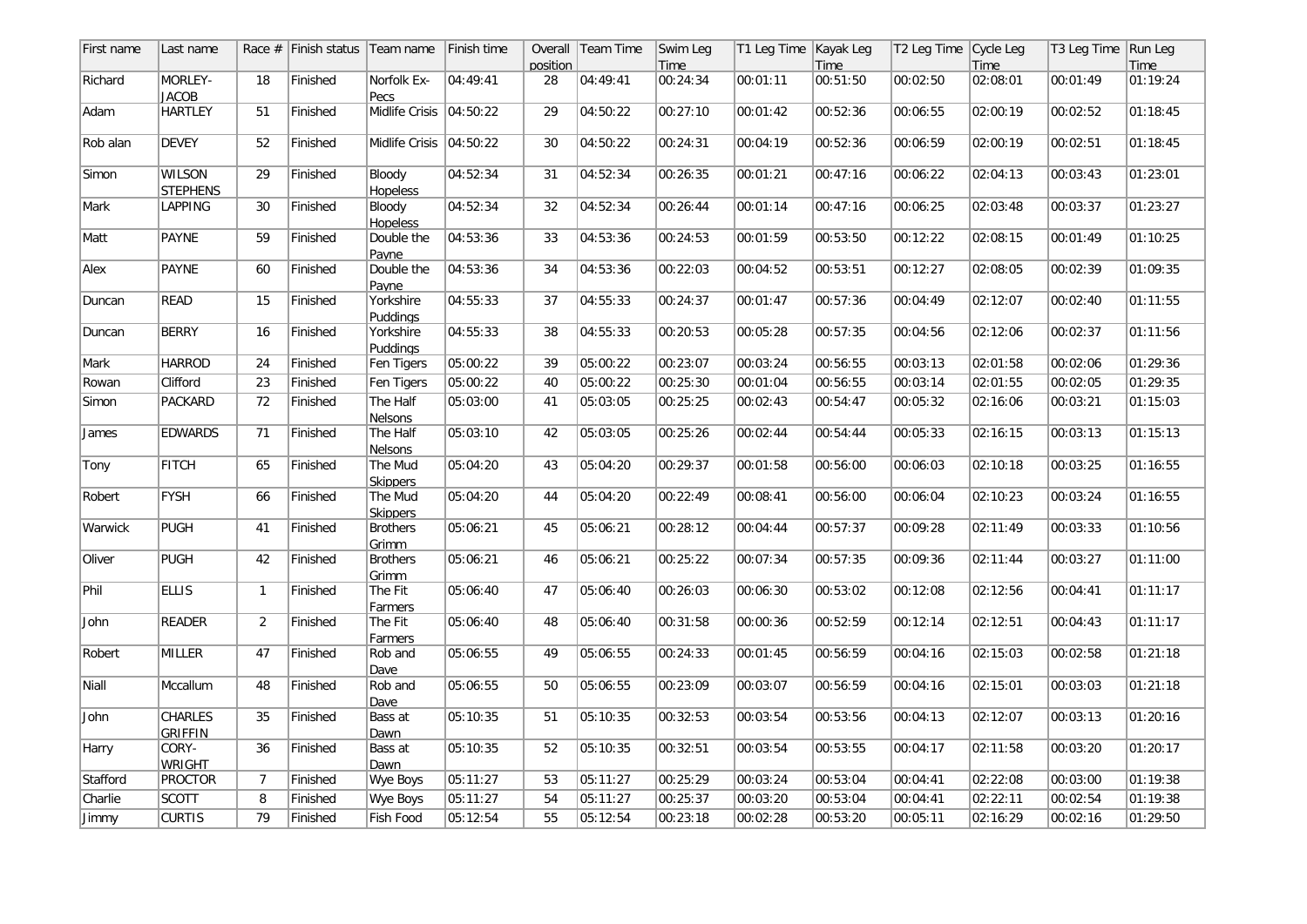| First name | Last name                        |                 | Race $#$ Finish status | Team name                  | Finish time |          | Overall Team Time | Swim Leg | T1 Leg Time   Kayak Leg |          | T2 Leg Time Cycle Leg |          | T3 Leg Time | Run Leg  |
|------------|----------------------------------|-----------------|------------------------|----------------------------|-------------|----------|-------------------|----------|-------------------------|----------|-----------------------|----------|-------------|----------|
|            |                                  |                 |                        |                            |             | position |                   | Time     |                         | Time     |                       | Time     |             | Time     |
| Richard    | MORLEY-<br><b>JACOB</b>          | 18              | Finished               | Norfolk Ex-<br>Pecs        | 04:49:41    | 28       | 04:49:41          | 00:24:34 | 00:01:11                | 00:51:50 | 00:02:50              | 02:08:01 | 00:01:49    | 01:19:24 |
| Adam       | <b>HARTLEY</b>                   | 51              | Finished               | Midlife Crisis   04:50:22  |             | 29       | 04:50:22          | 00:27:10 | 00:01:42                | 00:52:36 | 00:06:55              | 02:00:19 | 00:02:52    | 01:18:45 |
| Rob alan   | <b>DEVEY</b>                     | 52              | Finished               | Midlife Crisis   04:50:22  |             | 30       | 04:50:22          | 00:24:31 | 00:04:19                | 00:52:36 | 00:06:59              | 02:00:19 | 00:02:51    | 01:18:45 |
| Simon      | <b>WILSON</b><br><b>STEPHENS</b> | 29              | Finished               | Bloody<br><b>Hopeless</b>  | 04:52:34    | 31       | 04:52:34          | 00:26:35 | 00:01:21                | 00:47:16 | 00:06:22              | 02:04:13 | 00:03:43    | 01:23:01 |
| Mark       | LAPPING                          | 30              | Finished               | Bloody<br><b>Hopeless</b>  | 04:52:34    | 32       | 04:52:34          | 00:26:44 | 00:01:14                | 00:47:16 | 00:06:25              | 02:03:48 | 00:03:37    | 01:23:27 |
| Matt       | PAYNE                            | 59              | Finished               | Double the<br>Pavne        | 04:53:36    | 33       | 04:53:36          | 00:24:53 | 00:01:59                | 00:53:50 | 00:12:22              | 02:08:15 | 00:01:49    | 01:10:25 |
| Alex       | PAYNE                            | 60              | Finished               | Double the<br>Payne        | 04:53:36    | 34       | 04:53:36          | 00:22:03 | 00:04:52                | 00:53:51 | 00:12:27              | 02:08:05 | 00:02:39    | 01:09:35 |
| Duncan     | <b>READ</b>                      | 15              | Finished               | Yorkshire<br>Puddings      | 04:55:33    | 37       | 04:55:33          | 00:24:37 | 00:01:47                | 00:57:36 | 00:04:49              | 02:12:07 | 00:02:40    | 01:11:55 |
| Duncan     | <b>BERRY</b>                     | 16              | Finished               | Yorkshire<br>Puddings      | 04:55:33    | 38       | 04:55:33          | 00:20:53 | 00:05:28                | 00:57:35 | 00:04:56              | 02:12:06 | 00:02:37    | 01:11:56 |
| Mark       | <b>HARROD</b>                    | 24              | Finished               | Fen Tigers                 | 05:00:22    | 39       | 05:00:22          | 00:23:07 | 00:03:24                | 00:56:55 | 00:03:13              | 02:01:58 | 00:02:06    | 01:29:36 |
| Rowan      | Clifford                         | $\overline{23}$ | Finished               | Fen Tigers                 | 05:00:22    | 40       | 05:00:22          | 00:25:30 | 00:01:04                | 00:56:55 | 00:03:14              | 02:01:55 | 00:02:05    | 01:29:35 |
| Simon      | <b>PACKARD</b>                   | 72              | Finished               | The Half<br>Nelsons        | 05:03:00    | 41       | 05:03:05          | 00:25:25 | 00:02:43                | 00:54:47 | 00:05:32              | 02:16:06 | 00:03:21    | 01:15:03 |
| James      | <b>EDWARDS</b>                   | 71              | Finished               | The Half<br><b>Nelsons</b> | 05:03:10    | 42       | 05:03:05          | 00:25:26 | 00:02:44                | 00:54:44 | 00:05:33              | 02:16:15 | 00:03:13    | 01:15:13 |
| Tony       | <b>FITCH</b>                     | 65              | Finished               | The Mud<br><b>Skippers</b> | 05:04:20    | 43       | 05:04:20          | 00:29:37 | 00:01:58                | 00:56:00 | 00:06:03              | 02:10:18 | 00:03:25    | 01:16:55 |
| Robert     | <b>FYSH</b>                      | 66              | Finished               | The Mud<br><b>Skippers</b> | 05:04:20    | 44       | 05:04:20          | 00:22:49 | 00:08:41                | 00:56:00 | 00:06:04              | 02:10:23 | 00:03:24    | 01:16:55 |
| Warwick    | PUGH                             | 41              | Finished               | <b>Brothers</b><br>Grimm   | 05:06:21    | 45       | 05:06:21          | 00:28:12 | 00:04:44                | 00:57:37 | 00:09:28              | 02:11:49 | 00:03:33    | 01:10:56 |
| Oliver     | <b>PUGH</b>                      | 42              | Finished               | <b>Brothers</b><br>Grimm   | 05:06:21    | 46       | 05:06:21          | 00:25:22 | 00:07:34                | 00:57:35 | 00:09:36              | 02:11:44 | 00:03:27    | 01:11:00 |
| Phil       | <b>ELLIS</b>                     | $\mathbf{1}$    | Finished               | The Fit<br>Farmers         | 05:06:40    | 47       | 05:06:40          | 00:26:03 | 00:06:30                | 00:53:02 | 00:12:08              | 02:12:56 | 00:04:41    | 01:11:17 |
| John       | <b>READER</b>                    | $\overline{2}$  | Finished               | The Fit<br>Farmers         | 05:06:40    | 48       | 05:06:40          | 00:31:58 | 00:00:36                | 00:52:59 | 00:12:14              | 02:12:51 | 00:04:43    | 01:11:17 |
| Robert     | <b>MILLER</b>                    | 47              | Finished               | Rob and<br>Dave            | 05:06:55    | 49       | 05:06:55          | 00:24:33 | 00:01:45                | 00:56:59 | 00:04:16              | 02:15:03 | 00:02:58    | 01:21:18 |
| Niall      | Mccallum                         | 48              | Finished               | Rob and<br>Dave            | 05:06:55    | 50       | 05:06:55          | 00:23:09 | 00:03:07                | 00:56:59 | 00:04:16              | 02:15:01 | 00:03:03    | 01:21:18 |
| John       | <b>CHARLES</b><br><b>GRIFFIN</b> | 35              | Finished               | Bass at<br>Dawn            | 05:10:35    | 51       | 05:10:35          | 00:32:53 | 00:03:54                | 00:53:56 | 00:04:13              | 02:12:07 | 00:03:13    | 01:20:16 |
| Harry      | CORY-<br>WRIGHT                  | 36              | Finished               | Bass at<br>Dawn            | 05:10:35    | 52       | 05:10:35          | 00:32:51 | 00:03:54                | 00:53:55 | 00:04:17              | 02:11:58 | 00:03:20    | 01:20:17 |
| Stafford   | <b>PROCTOR</b>                   | $\overline{7}$  | Finished               | Wye Boys                   | 05:11:27    | 53       | 05:11:27          | 00:25:29 | 00:03:24                | 00:53:04 | 00:04:41              | 02:22:08 | 00:03:00    | 01:19:38 |
| Charlie    | <b>SCOTT</b>                     | 8               | Finished               | Wye Boys                   | 05:11:27    | 54       | 05:11:27          | 00:25:37 | 00:03:20                | 00:53:04 | 00:04:41              | 02:22:11 | 00:02:54    | 01:19:38 |
| Jimmy      | <b>CURTIS</b>                    | 79              | Finished               | Fish Food                  | 05:12:54    | 55       | 05:12:54          | 00:23:18 | 00:02:28                | 00:53:20 | 00:05:11              | 02:16:29 | 00:02:16    | 01:29:50 |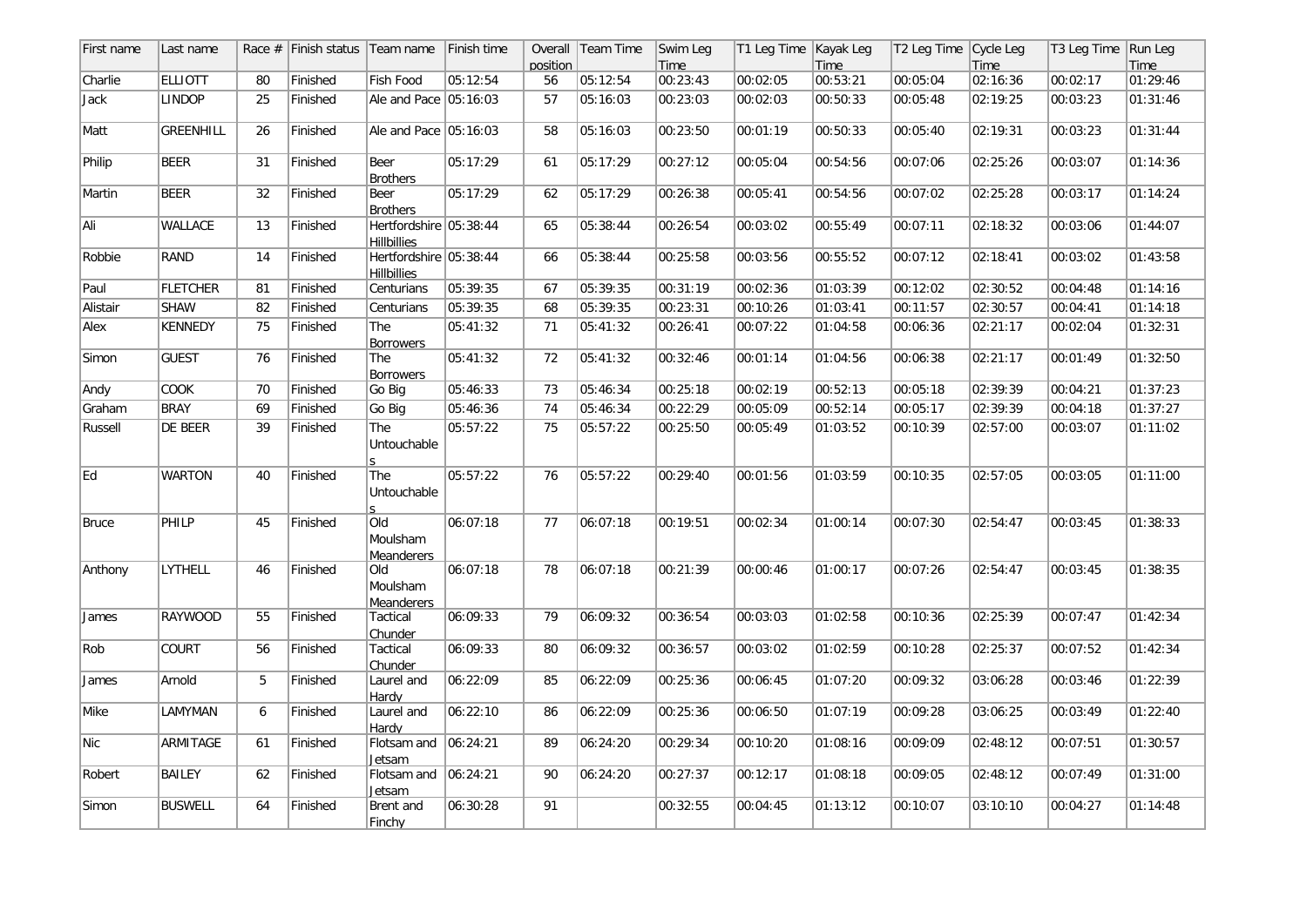| First name   | Last name       |    | Race $#$ Finish status Team name |                                                | Finish time |          | Overall   Team Time | Swim Leg | T1 Leg Time   Kayak Leg |          | T2 Leg Time Cycle Leg |          | T3 Leg Time Run Leg |          |
|--------------|-----------------|----|----------------------------------|------------------------------------------------|-------------|----------|---------------------|----------|-------------------------|----------|-----------------------|----------|---------------------|----------|
|              |                 |    |                                  |                                                |             | position |                     | Time     |                         | Time     |                       | Time     |                     | Time     |
| Charlie      | <b>ELLIOTT</b>  | 80 | Finished                         | Fish Food                                      | 05:12:54    | 56       | 05:12:54            | 00:23:43 | 00:02:05                | 00:53:21 | 00:05:04              | 02:16:36 | 00:02:17            | 01:29:46 |
| Jack         | <b>LINDOP</b>   | 25 | Finished                         | Ale and Pace 05:16:03                          |             | 57       | 05:16:03            | 00:23:03 | 00:02:03                | 00:50:33 | 00:05:48              | 02:19:25 | 00:03:23            | 01:31:46 |
| Matt         | GREENHILL       | 26 | Finished                         | Ale and Pace 05:16:03                          |             | 58       | 05:16:03            | 00:23:50 | 00:01:19                | 00:50:33 | 00:05:40              | 02:19:31 | 00:03:23            | 01:31:44 |
| Philip       | <b>BEER</b>     | 31 | Finished                         | Beer<br><b>Brothers</b>                        | 05:17:29    | 61       | 05:17:29            | 00:27:12 | 00:05:04                | 00:54:56 | 00:07:06              | 02:25:26 | 00:03:07            | 01:14:36 |
| Martin       | <b>BEER</b>     | 32 | Finished                         | Beer<br><b>Brothers</b>                        | 05:17:29    | 62       | 05:17:29            | 00:26:38 | 00:05:41                | 00:54:56 | 00:07:02              | 02:25:28 | 00:03:17            | 01:14:24 |
| Ali          | <b>WALLACE</b>  | 13 | Finished                         | Hertfordshire   05:38:44<br><b>Hillbillies</b> |             | 65       | 05:38:44            | 00:26:54 | 00:03:02                | 00:55:49 | 00:07:11              | 02:18:32 | 00:03:06            | 01:44:07 |
| Robbie       | RAND            | 14 | Finished                         | Hertfordshire 05:38:44<br><b>Hillbillies</b>   |             | 66       | 05:38:44            | 00:25:58 | 00:03:56                | 00:55:52 | 00:07:12              | 02:18:41 | 00:03:02            | 01:43:58 |
| Paul         | <b>FLETCHER</b> | 81 | Finished                         | Centurians                                     | 05:39:35    | 67       | 05:39:35            | 00:31:19 | 00:02:36                | 01:03:39 | 00:12:02              | 02:30:52 | 00:04:48            | 01:14:16 |
| Alistair     | <b>SHAW</b>     | 82 | Finished                         | Centurians                                     | 05:39:35    | 68       | 05:39:35            | 00:23:31 | 00:10:26                | 01:03:41 | 00:11:57              | 02:30:57 | 00:04:41            | 01:14:18 |
| Alex         | <b>KENNEDY</b>  | 75 | Finished                         | The<br><b>Borrowers</b>                        | 05:41:32    | 71       | 05:41:32            | 00:26:41 | 00:07:22                | 01:04:58 | 00:06:36              | 02:21:17 | 00:02:04            | 01:32:31 |
| Simon        | <b>GUEST</b>    | 76 | Finished                         | The<br><b>Borrowers</b>                        | 05:41:32    | 72       | 05:41:32            | 00:32:46 | 00:01:14                | 01:04:56 | 00:06:38              | 02:21:17 | 00:01:49            | 01:32:50 |
| Andy         | COOK            | 70 | Finished                         | Go Big                                         | 05:46:33    | 73       | 05:46:34            | 00:25:18 | 00:02:19                | 00:52:13 | 00:05:18              | 02:39:39 | 00:04:21            | 01:37:23 |
| Graham       | <b>BRAY</b>     | 69 | Finished                         | Go Big                                         | 05:46:36    | 74       | 05:46:34            | 00:22:29 | 00:05:09                | 00:52:14 | 00:05:17              | 02:39:39 | 00:04:18            | 01:37:27 |
| Russell      | DE BEER         | 39 | Finished                         | The<br>Untouchable                             | 05:57:22    | 75       | 05:57:22            | 00:25:50 | 00:05:49                | 01:03:52 | 00:10:39              | 02:57:00 | 00:03:07            | 01:11:02 |
| Ed           | <b>WARTON</b>   | 40 | Finished                         | The<br>Untouchable                             | 05:57:22    | 76       | 05:57:22            | 00:29:40 | 00:01:56                | 01:03:59 | 00:10:35              | 02:57:05 | 00:03:05            | 01:11:00 |
| <b>Bruce</b> | PHILP           | 45 | Finished                         | Old<br>Moulsham<br><b>Meanderers</b>           | 06:07:18    | 77       | 06:07:18            | 00:19:51 | 00:02:34                | 01:00:14 | 00:07:30              | 02:54:47 | 00:03:45            | 01:38:33 |
| Anthony      | LYTHELL         | 46 | Finished                         | Old<br>Moulsham<br><b>Meanderers</b>           | 06:07:18    | 78       | 06:07:18            | 00:21:39 | 00:00:46                | 01:00:17 | 00:07:26              | 02:54:47 | 00:03:45            | 01:38:35 |
| James        | <b>RAYWOOD</b>  | 55 | Finished                         | Tactical<br>Chunder                            | 06:09:33    | 79       | 06:09:32            | 00:36:54 | 00:03:03                | 01:02:58 | 00:10:36              | 02:25:39 | 00:07:47            | 01:42:34 |
| Rob          | COURT           | 56 | Finished                         | Tactical<br>Chunder                            | 06:09:33    | 80       | 06:09:32            | 00:36:57 | 00:03:02                | 01:02:59 | 00:10:28              | 02:25:37 | 00:07:52            | 01:42:34 |
| James        | Arnold          | 5  | Finished                         | Laurel and<br>Hardy                            | 06:22:09    | 85       | 06:22:09            | 00:25:36 | 00:06:45                | 01:07:20 | 00:09:32              | 03:06:28 | 00:03:46            | 01:22:39 |
| Mike         | LAMYMAN         | 6  | Finished                         | Laurel and<br>Hardy                            | 06:22:10    | 86       | 06:22:09            | 00:25:36 | 00:06:50                | 01:07:19 | 00:09:28              | 03:06:25 | 00:03:49            | 01:22:40 |
| Nic          | ARMITAGE        | 61 | Finished                         | Flotsam and<br>Jetsam                          | 06:24:21    | 89       | 06:24:20            | 00:29:34 | 00:10:20                | 01:08:16 | 00:09:09              | 02:48:12 | 00:07:51            | 01:30:57 |
| Robert       | BAILEY          | 62 | Finished                         | Flotsam and<br>Jetsam                          | 06:24:21    | 90       | 06:24:20            | 00:27:37 | 00:12:17                | 01:08:18 | 00:09:05              | 02:48:12 | 00:07:49            | 01:31:00 |
| Simon        | <b>BUSWELL</b>  | 64 | Finished                         | Brent and<br>Finchy                            | 06:30:28    | 91       |                     | 00:32:55 | 00:04:45                | 01:13:12 | 00:10:07              | 03:10:10 | 00:04:27            | 01:14:48 |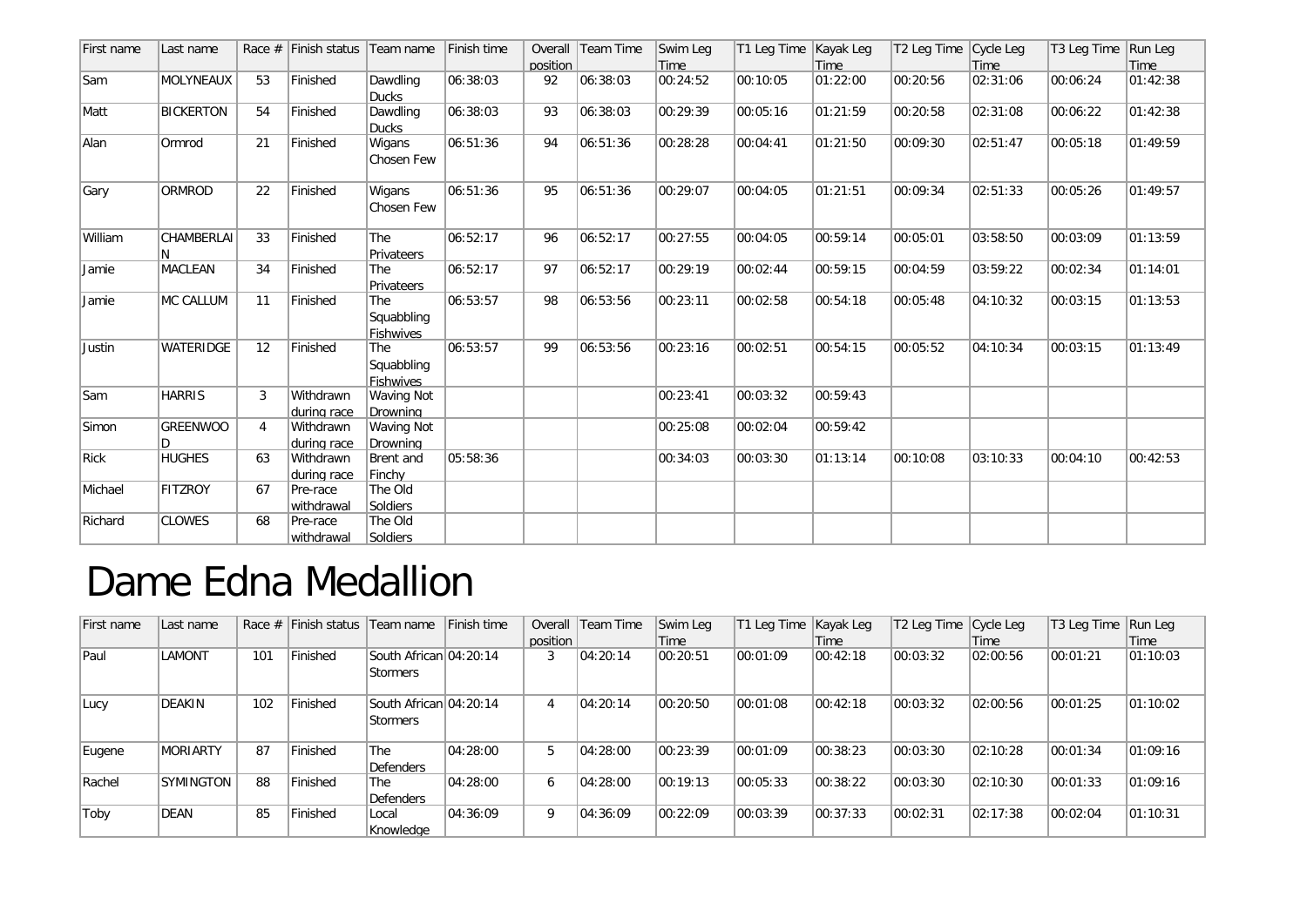| First name | Last name            |                | Race $#$ Finish status   | Team name                                    | Finish time | position | Overall Team Time | Swim Leg<br>Time | T1 Leg Time | Kayak Leg<br>Time | T2 Leg Time Cycle Leg | Time     | T3 Leg Time | Run Leg<br>Time |
|------------|----------------------|----------------|--------------------------|----------------------------------------------|-------------|----------|-------------------|------------------|-------------|-------------------|-----------------------|----------|-------------|-----------------|
| Sam        | <b>MOLYNEAUX</b>     | 53             | Finished                 | Dawdling<br><b>Ducks</b>                     | 06:38:03    | 92       | 06:38:03          | 00:24:52         | 00:10:05    | 01:22:00          | 00:20:56              | 02:31:06 | 00:06:24    | 01:42:38        |
| Matt       | <b>BICKERTON</b>     | 54             | Finished                 | Dawdling<br><b>Ducks</b>                     | 06:38:03    | 93       | 06:38:03          | 00:29:39         | 00:05:16    | 01:21:59          | 00:20:58              | 02:31:08 | 00:06:22    | 01:42:38        |
| Alan       | Ormrod               | 21             | Finished                 | Wigans<br>Chosen Few                         | 06:51:36    | 94       | 06:51:36          | 00:28:28         | 00:04:41    | 01:21:50          | 00:09:30              | 02:51:47 | 00:05:18    | 01:49:59        |
| Gary       | ORMROD               | 22             | Finished                 | Wigans<br>Chosen Few                         | 06:51:36    | 95       | 06:51:36          | 00:29:07         | 00:04:05    | 01:21:51          | 00:09:34              | 02:51:33 | 00:05:26    | 01:49:57        |
| William    | CHAMBERLAI           | 33             | Finished                 | <b>The</b><br>Privateers                     | 06:52:17    | 96       | 06:52:17          | 00:27:55         | 00:04:05    | 00:59:14          | 00:05:01              | 03:58:50 | 00:03:09    | 01:13:59        |
| Jamie      | <b>MACLEAN</b>       | 34             | Finished                 | The<br>Privateers                            | 06:52:17    | 97       | 06:52:17          | 00:29:19         | 00:02:44    | 00:59:15          | 00:04:59              | 03:59:22 | 00:02:34    | 01:14:01        |
| Jamie      | MC CALLUM            | 11             | Finished                 | <b>The</b><br>Squabbling<br><b>Fishwives</b> | 06:53:57    | 98       | 06:53:56          | 00:23:11         | 00:02:58    | 00:54:18          | 00:05:48              | 04:10:32 | 00:03:15    | 01:13:53        |
| Justin     | <b>WATERIDGE</b>     | 12             | Finished                 | <b>The</b><br>Squabbling<br>Fishwives        | 06:53:57    | 99       | 06:53:56          | 00:23:16         | 00:02:51    | 00:54:15          | 00:05:52              | 04:10:34 | 00:03:15    | 01:13:49        |
| Sam        | <b>HARRIS</b>        | 3              | Withdrawn<br>during race | <b>Waving Not</b><br>Drowning                |             |          |                   | 00:23:41         | 00:03:32    | 00:59:43          |                       |          |             |                 |
| Simon      | <b>GREENWOO</b><br>D | $\overline{4}$ | Withdrawn<br>during race | <b>Waving Not</b><br>Drowning                |             |          |                   | 00:25:08         | 00:02:04    | 00:59:42          |                       |          |             |                 |
| Rick       | <b>HUGHES</b>        | 63             | Withdrawn<br>during race | Brent and<br>Finchy                          | 05:58:36    |          |                   | 00:34:03         | 00:03:30    | 01:13:14          | 00:10:08              | 03:10:33 | 00:04:10    | 00:42:53        |
| Michael    | <b>FITZROY</b>       | 67             | Pre-race<br>withdrawal   | The Old<br>Soldiers                          |             |          |                   |                  |             |                   |                       |          |             |                 |
| Richard    | <b>CLOWES</b>        | 68             | Pre-race<br>lwithdrawal  | The Old<br>Soldiers                          |             |          |                   |                  |             |                   |                       |          |             |                 |

## Dame Edna Medallion

| First name | Last name        |     | Race $#$ Finish status Team name |                                    | Finish time |          | Overall Team Time | Swim Leg | T1 Leg Time   Kayak Leg |          | T2 Leg Time Cycle Leg |          | T3 Leg Time | Run Leg  |
|------------|------------------|-----|----------------------------------|------------------------------------|-------------|----------|-------------------|----------|-------------------------|----------|-----------------------|----------|-------------|----------|
|            |                  |     |                                  |                                    |             | position |                   | Time     |                         | Time     |                       | Time     |             | Time     |
| Paul       | LAMONT           | 101 | Finished                         | South African 04:20:14<br>Stormers |             | 3        | 04:20:14          | 00:20:51 | 00:01:09                | 00:42:18 | 00:03:32              | 02:00:56 | 00:01:21    | 01:10:03 |
| Lucy       | DEAKIN           | 102 | Finished                         | South African 04:20:14<br>Stormers |             | 4        | 04:20:14          | 00:20:50 | 00:01:08                | 00:42:18 | 00:03:32              | 02:00:56 | 00:01:25    | 01:10:02 |
| Eugene     | <b>MORIARTY</b>  | 87  | Finished                         | The<br>Defenders                   | 04:28:00    | 5        | 04:28:00          | 00:23:39 | 00:01:09                | 00:38:23 | 00:03:30              | 02:10:28 | 00:01:34    | 01:09:16 |
| Rachel     | <b>SYMINGTON</b> | 88  | Finished                         | <b>The</b><br>Defenders            | 04:28:00    | 6        | 04:28:00          | 00:19:13 | 00:05:33                | 00:38:22 | 00:03:30              | 02:10:30 | 00:01:33    | 01:09:16 |
| Toby       | DEAN             | 85  | Finished                         | Local<br>Knowledae                 | 04:36:09    | 9        | 04:36:09          | 00:22:09 | 00:03:39                | 00:37:33 | 00:02:31              | 02:17:38 | 00:02:04    | 01:10:31 |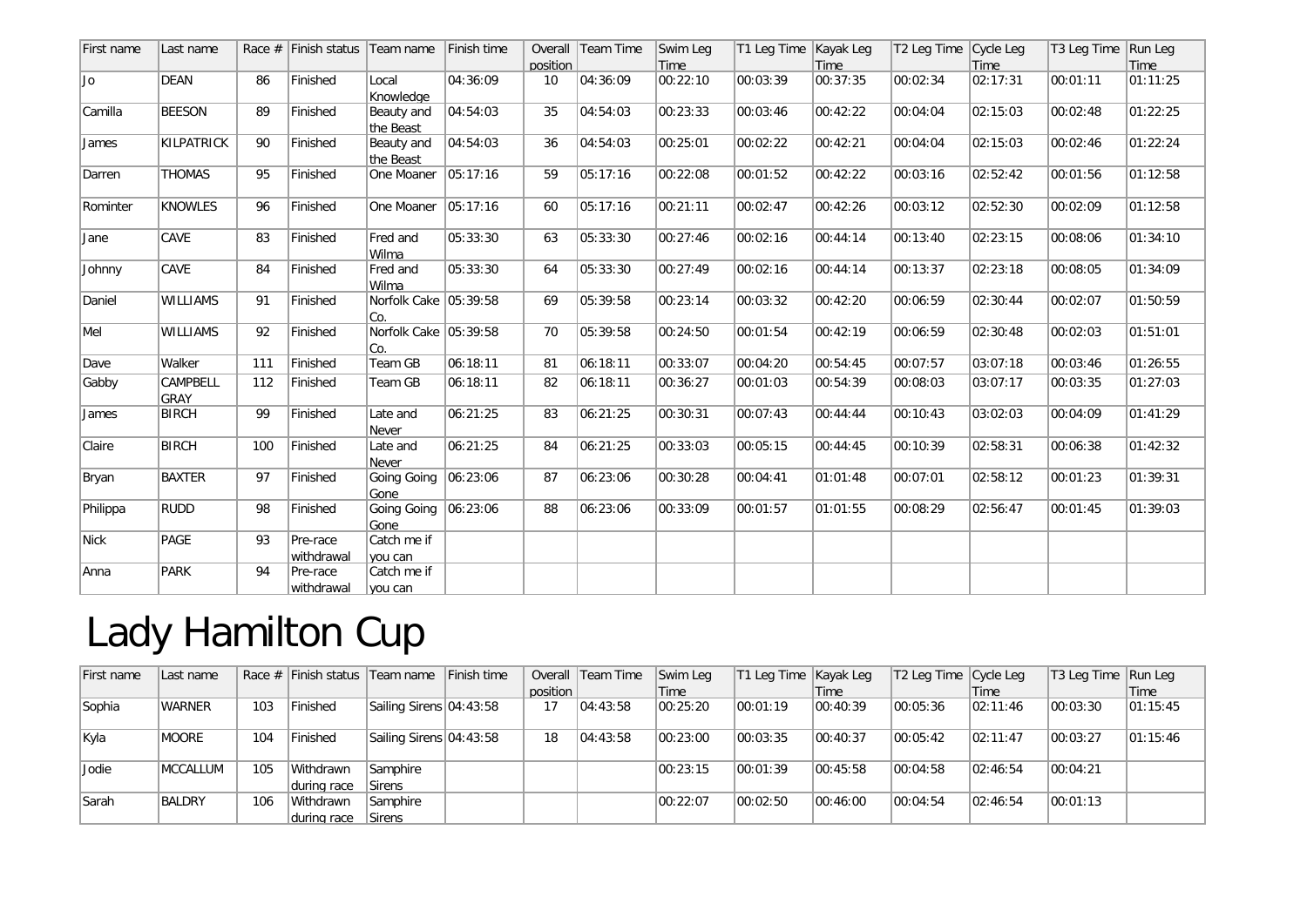| First name | Last name               |     | Race $#$ Finish status  | Team name                      | Finish time | position | Overall Team Time | Swim Leg<br>Time | T1 Leg Time | Kayak Leg<br>Time | T2 Leg Time Cycle Leg | Time     | T3 Leg Time | Run Leg<br>Time |
|------------|-------------------------|-----|-------------------------|--------------------------------|-------------|----------|-------------------|------------------|-------------|-------------------|-----------------------|----------|-------------|-----------------|
| Jo         | <b>DEAN</b>             | 86  | Finished                | Local<br>Knowledge             | 04:36:09    | 10       | 04:36:09          | 00:22:10         | 00:03:39    | 00:37:35          | 00:02:34              | 02:17:31 | 00:01:11    | 01:11:25        |
| Camilla    | <b>BEESON</b>           | 89  | Finished                | Beauty and<br>the Beast        | 04:54:03    | 35       | 04:54:03          | 00:23:33         | 00:03:46    | 00:42:22          | 00:04:04              | 02:15:03 | 00:02:48    | 01:22:25        |
| James      | KILPATRICK              | 90  | Finished                | Beauty and<br>the Beast        | 04:54:03    | 36       | 04:54:03          | 00:25:01         | 00:02:22    | 00:42:21          | 00:04:04              | 02:15:03 | 00:02:46    | 01:22:24        |
| Darren     | <b>THOMAS</b>           | 95  | Finished                | One Moaner                     | 05:17:16    | 59       | 05:17:16          | 00:22:08         | 00:01:52    | 00:42:22          | 00:03:16              | 02:52:42 | 00:01:56    | 01:12:58        |
| Rominter   | <b>KNOWLES</b>          | 96  | Finished                | One Moaner                     | 05:17:16    | 60       | 05:17:16          | 00:21:11         | 00:02:47    | 00:42:26          | 00:03:12              | 02:52:30 | 00:02:09    | 01:12:58        |
| Jane       | CAVE                    | 83  | Finished                | Fred and<br>Wilma              | 05:33:30    | 63       | 05:33:30          | 00:27:46         | 00:02:16    | 00:44:14          | 00:13:40              | 02:23:15 | 00:08:06    | 01:34:10        |
| Johnny     | CAVE                    | 84  | Finished                | Fred and<br>Wilma              | 05:33:30    | 64       | 05:33:30          | 00:27:49         | 00:02:16    | 00:44:14          | 00:13:37              | 02:23:18 | 00:08:05    | 01:34:09        |
| Daniel     | <b>WILLIAMS</b>         | 91  | Finished                | Norfolk Cake   05:39:58<br>Co. |             | 69       | 05:39:58          | 00:23:14         | 00:03:32    | 00:42:20          | 00:06:59              | 02:30:44 | 00:02:07    | 01:50:59        |
| Mel        | <b>WILLIAMS</b>         | 92  | Finished                | Norfolk Cake 05:39:58<br>Co.   |             | 70       | 05:39:58          | 00:24:50         | 00:01:54    | 00:42:19          | 00:06:59              | 02:30:48 | 00:02:03    | 01:51:01        |
| Dave       | Walker                  | 111 | Finished                | Team GB                        | 06:18:11    | 81       | 06:18:11          | 00:33:07         | 00:04:20    | 00:54:45          | 00:07:57              | 03:07:18 | 00:03:46    | 01:26:55        |
| Gabby      | CAMPBELL<br><b>GRAY</b> | 112 | Finished                | Team GB                        | 06:18:11    | 82       | 06:18:11          | 00:36:27         | 00:01:03    | 00:54:39          | 00:08:03              | 03:07:17 | 00:03:35    | 01:27:03        |
| James      | <b>BIRCH</b>            | 99  | Finished                | Late and<br>Never              | 06:21:25    | 83       | 06:21:25          | 00:30:31         | 00:07:43    | 00:44:44          | 00:10:43              | 03:02:03 | 00:04:09    | 01:41:29        |
| Claire     | <b>BIRCH</b>            | 100 | Finished                | Late and<br>Never              | 06:21:25    | 84       | 06:21:25          | 00:33:03         | 00:05:15    | 00:44:45          | 00:10:39              | 02:58:31 | 00:06:38    | 01:42:32        |
| Bryan      | <b>BAXTER</b>           | 97  | Finished                | Going Going<br>Gone            | 06:23:06    | 87       | 06:23:06          | 00:30:28         | 00:04:41    | 01:01:48          | 00:07:01              | 02:58:12 | 00:01:23    | 01:39:31        |
| Philippa   | <b>RUDD</b>             | 98  | Finished                | Going Going<br>Gone            | 06:23:06    | 88       | 06:23:06          | 00:33:09         | 00:01:57    | 01:01:55          | 00:08:29              | 02:56:47 | 00:01:45    | 01:39:03        |
| Nick       | PAGE                    | 93  | Pre-race<br>withdrawa   | Catch me if<br>you can         |             |          |                   |                  |             |                   |                       |          |             |                 |
| Anna       | <b>PARK</b>             | 94  | Pre-race<br> withdrawal | Catch me if<br>you can         |             |          |                   |                  |             |                   |                       |          |             |                 |

## Lady Hamilton Cup

| First name | Last name        |     |                          | Race # Finish status Team name Finish time |          | Overall Team Time | Swim Leg | T1 Leg Time Kayak Leg |          | T2 Leg Time Cycle Leg |          | T3 Leg Time Run Leg |          |
|------------|------------------|-----|--------------------------|--------------------------------------------|----------|-------------------|----------|-----------------------|----------|-----------------------|----------|---------------------|----------|
|            |                  |     |                          |                                            | position |                   | Time     |                       | Time     |                       | Time     |                     | Time     |
| Sophia     | <b>WARNER</b>    | 103 | Finished                 | Sailing Sirens 04:43:58                    | 17       | 04:43:58          | 00:25:20 | 00:01:19              | 00:40:39 | 00:05:36              | 02:11:46 | 00:03:30            | 01:15:45 |
| Kyla       | <b>MOORE</b>     | 104 | Finished                 | Sailing Sirens 04:43:58                    | 18       | 04:43:58          | 00:23:00 | 00:03:35              | 00:40:37 | $ 00:05:42\rangle$    | 02:11:47 | 00:03:27            | 01:15:46 |
| Jodie      | <b>IMCCALLUM</b> | 105 | Withdrawn<br>during race | Samphire<br><b>Sirens</b>                  |          |                   | 00:23:15 | 00:01:39              | 00:45:58 | 00:04:58              | 02:46:54 | 00:04:21            |          |
| Sarah      | BALDRY           | 106 | Withdrawn                | Samphire                                   |          |                   | 00:22:07 | 00:02:50              | 00:46:00 | 00:04:54              | 02:46:54 | 00:01:13            |          |
|            |                  |     | during race              | Sirens                                     |          |                   |          |                       |          |                       |          |                     |          |